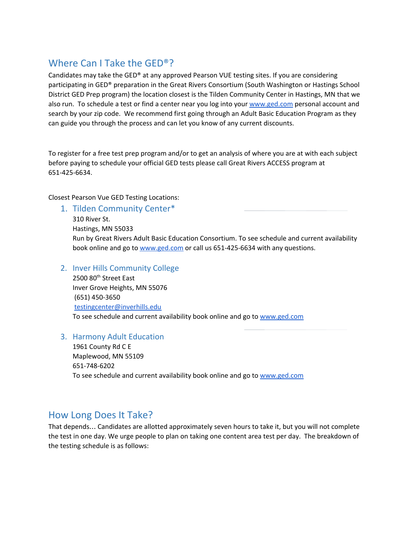# Where Can I Take the GED®?

Candidates may take the GED® at any approved Pearson VUE testing sites. If you are considering participating in GED® preparation in the Great Rivers Consortium (South Washington or Hastings School District GED Prep program) the location closest is the Tilden Community Center in Hastings, MN that we also run. To schedule a test or find a center near you log into your [www.ged.com](http://www.ged.com/) personal account and search by your zip code. We recommend first going through an Adult Basic Education Program as they can guide you through the process and can let you know of any current discounts.

To register for a free test prep program and/or to get an analysis of where you are at with each subject before paying to schedule your official GED tests please call Great Rivers ACCESS program at 651-425-6634.

Closest Pearson Vue GED Testing Locations:

1. Tilden Community Center\*

310 River St.

Hastings, MN 55033

Run by Great Rivers Adult Basic Education Consortium. To see schedule and current availability book online and go to [www.ged.com](http://www.ged.com/) or call us 651-425-6634 with any questions.

#### 2. Inver Hills Community College

2500 80<sup>th</sup> Street East Inver Grove Heights, MN 55076 (651) 450-3650 [testingcenter@inverhills.edu](mailto:testingcenter@inverhills.edu) To see schedule and current availability book online and go to [www.ged.com](http://www.ged.com/)

#### 3. Harmony Adult Education

1961 County Rd C E Maplewood, MN 55109 651-748-6202 To see schedule and current availability book online and go to [www.ged.com](http://www.ged.com/)

### How Long Does It Take?

That depends… Candidates are allotted approximately seven hours to take it, but you will not complete the test in one day. We urge people to plan on taking one content area test per day. The breakdown of the testing schedule is as follows: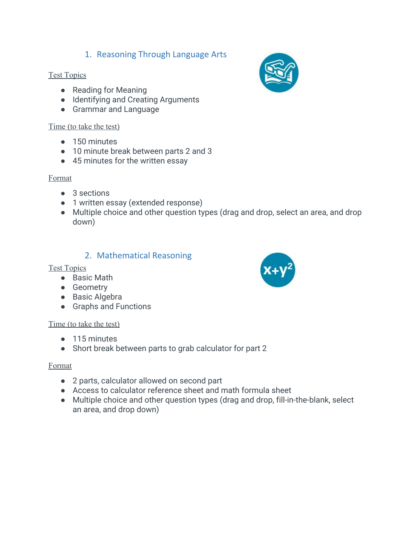## 1. Reasoning Through Language Arts

#### **Test Topics**

- Reading for Meaning
- Identifying and Creating Arguments
- Grammar and Language

#### Time (to take the test)

- 150 minutes
- 10 minute break between parts 2 and 3
- 45 minutes for the written essay

#### Format

- 3 sections
- 1 written essay (extended response)
- Multiple choice and other question types (drag and drop, select an area, and drop down)

#### 2. Mathematical Reasoning

#### Test Topics

- Basic Math
- Geometry
- Basic Algebra
- Graphs and Functions

#### Time (to take the test)

- 115 minutes
- Short break between parts to grab calculator for part 2

#### Format

- 2 parts, calculator allowed on second part
- Access to calculator reference sheet and math formula sheet
- Multiple choice and other question types (drag and drop, fill-in-the-blank, select an area, and drop down)



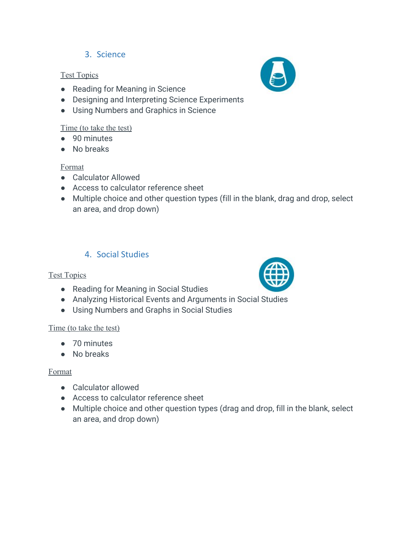## 3. Science

#### **Test Topics**

- Reading for Meaning in Science
- Designing and Interpreting Science Experiments
- Using Numbers and Graphics in Science

#### Time (to take the test)

- 90 minutes
- No breaks

#### Format

- Calculator Allowed
- Access to calculator reference sheet
- Multiple choice and other question types (fill in the blank, drag and drop, select an area, and drop down)

## 4. Social Studies

#### **Test Topics**

- Reading for Meaning in Social Studies
- Analyzing Historical Events and Arguments in Social Studies
- Using Numbers and Graphs in Social Studies

#### Time (to take the test)

- 70 minutes
- No breaks

#### Format

- Calculator allowed
- Access to calculator reference sheet
- Multiple choice and other question types (drag and drop, fill in the blank, select an area, and drop down)